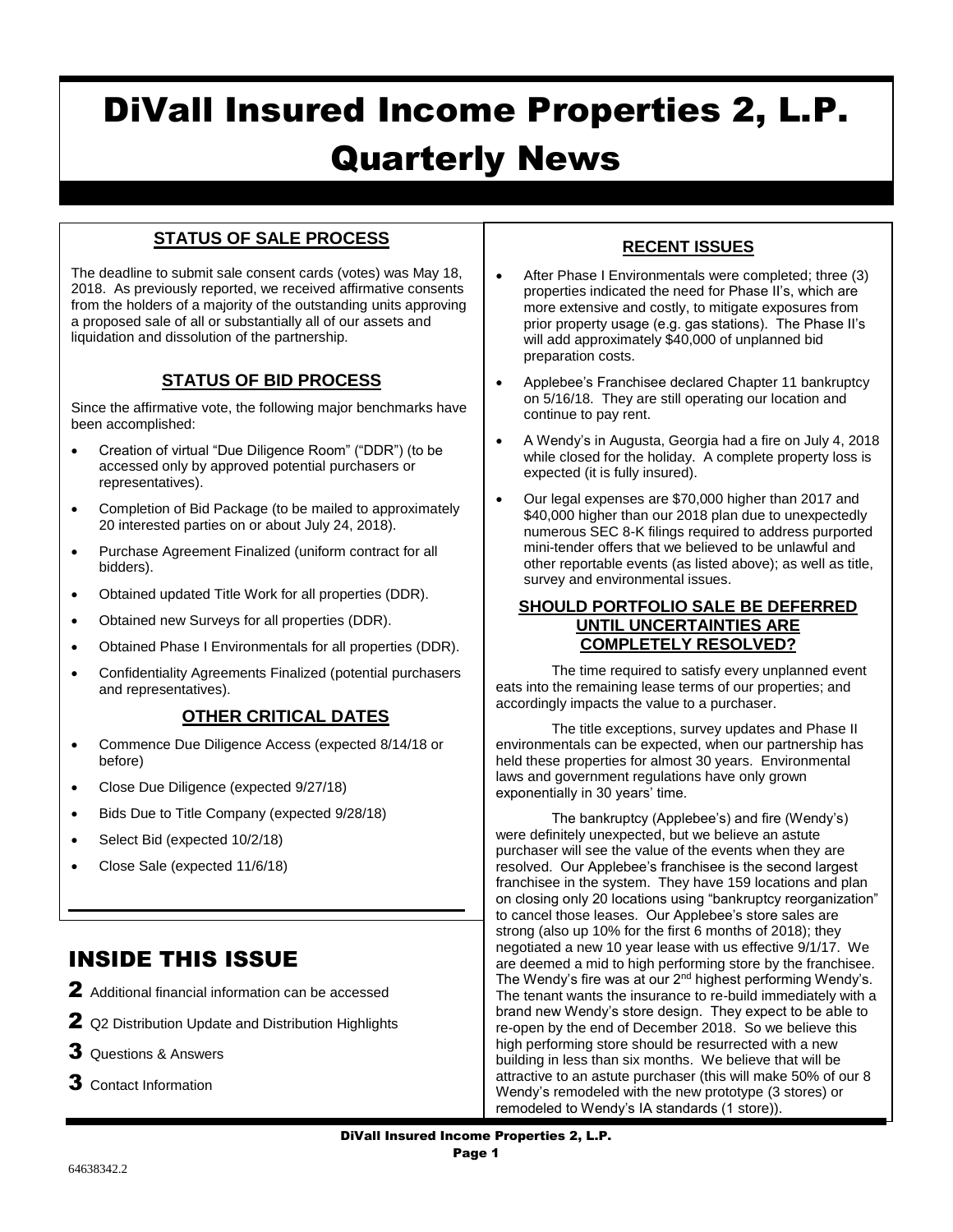# DiVall Insured Income Properties 2, L.P. Quarterly News

# **STATUS OF SALE PROCESS**

The deadline to submit sale consent cards (votes) was May 18, 2018. As previously reported, we received affirmative consents from the holders of a majority of the outstanding units approving a proposed sale of all or substantially all of our assets and liquidation and dissolution of the partnership.

# **STATUS OF BID PROCESS**

Since the affirmative vote, the following major benchmarks have been accomplished:

- Creation of virtual "Due Diligence Room" ("DDR") (to be accessed only by approved potential purchasers or representatives).
- Completion of Bid Package (to be mailed to approximately 20 interested parties on or about July 24, 2018).
- Purchase Agreement Finalized (uniform contract for all bidders).
- Obtained updated Title Work for all properties (DDR).
- Obtained new Surveys for all properties (DDR).
- Obtained Phase I Environmentals for all properties (DDR).
- Confidentiality Agreements Finalized (potential purchasers and representatives).

## **OTHER CRITICAL DATES**

 Commence Due Diligence Access (expected 8/14/18 or before)

 $\mathcal{L}_\text{max}$  and  $\mathcal{L}_\text{max}$  and  $\mathcal{L}_\text{max}$  and  $\mathcal{L}_\text{max}$  and  $\mathcal{L}_\text{max}$ 

- Close Due Diligence (expected 9/27/18)
- Bids Due to Title Company (expected 9/28/18)
- Select Bid (expected 10/2/18)
- Close Sale (expected 11/6/18)

# INSIDE THIS ISSUE

- 2 Additional financial information can be accessed
- 2 Q2 Distribution Update and Distribution Highlights
- Questions & Answers
- Contact Information

# **RECENT ISSUES**

- After Phase I Environmentals were completed; three (3) properties indicated the need for Phase II's, which are more extensive and costly, to mitigate exposures from prior property usage (e.g. gas stations). The Phase II's will add approximately \$40,000 of unplanned bid preparation costs.
- Applebee's Franchisee declared Chapter 11 bankruptcy on 5/16/18. They are still operating our location and continue to pay rent.
- A Wendy's in Augusta, Georgia had a fire on July 4, 2018 while closed for the holiday. A complete property loss is expected (it is fully insured).
- Our legal expenses are \$70,000 higher than 2017 and \$40,000 higher than our 2018 plan due to unexpectedly numerous SEC 8-K filings required to address purported mini-tender offers that we believed to be unlawful and other reportable events (as listed above); as well as title, survey and environmental issues.

#### **SHOULD PORTFOLIO SALE BE DEFERRED UNTIL UNCERTAINTIES ARE COMPLETELY RESOLVED?**

The time required to satisfy every unplanned event eats into the remaining lease terms of our properties; and accordingly impacts the value to a purchaser.

The title exceptions, survey updates and Phase II environmentals can be expected, when our partnership has held these properties for almost 30 years. Environmental laws and government regulations have only grown exponentially in 30 years' time.

The bankruptcy (Applebee's) and fire (Wendy's) were definitely unexpected, but we believe an astute purchaser will see the value of the events when they are resolved. Our Applebee's franchisee is the second largest franchisee in the system. They have 159 locations and plan on closing only 20 locations using "bankruptcy reorganization" to cancel those leases. Our Applebee's store sales are strong (also up 10% for the first 6 months of 2018); they negotiated a new 10 year lease with us effective 9/1/17. We are deemed a mid to high performing store by the franchisee. The Wendy's fire was at our 2<sup>nd</sup> highest performing Wendy's. The tenant wants the insurance to re-build immediately with a brand new Wendy's store design. They expect to be able to re-open by the end of December 2018. So we believe this high performing store should be resurrected with a new building in less than six months. We believe that will be attractive to an astute purchaser (this will make 50% of our 8 Wendy's remodeled with the new prototype (3 stores) or remodeled to Wendy's IA standards (1 store)).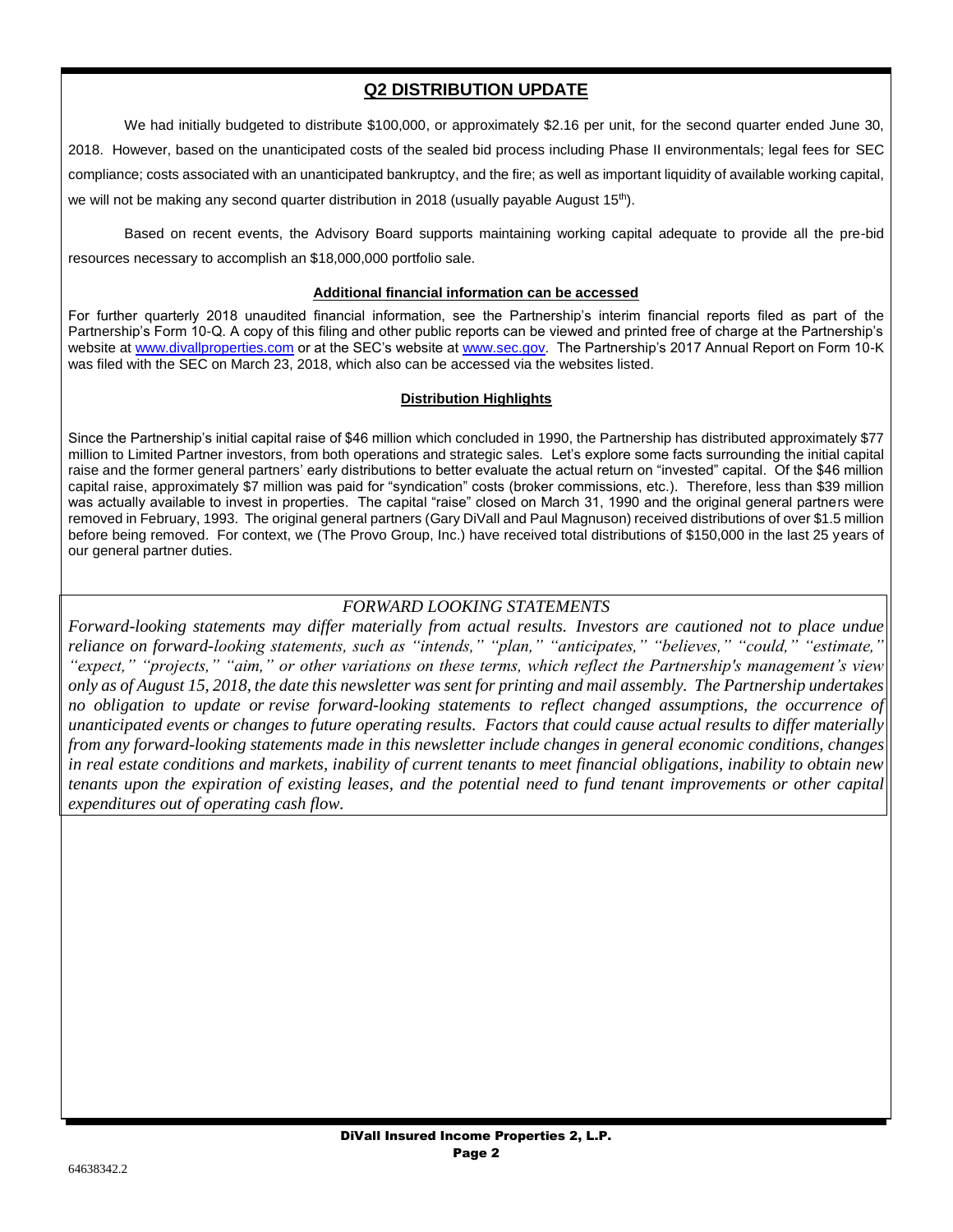# **Q2 DISTRIBUTION UPDATE**

We had initially budgeted to distribute \$100,000, or approximately \$2.16 per unit, for the second quarter ended June 30,

2018. However, based on the unanticipated costs of the sealed bid process including Phase II environmentals; legal fees for SEC compliance; costs associated with an unanticipated bankruptcy, and the fire; as well as important liquidity of available working capital, we will not be making any second quarter distribution in 2018 (usually payable August  $15<sup>th</sup>$ ).

Based on recent events, the Advisory Board supports maintaining working capital adequate to provide all the pre-bid resources necessary to accomplish an \$18,000,000 portfolio sale.

#### **Additional financial information can be accessed**

For further quarterly 2018 unaudited financial information, see the Partnership's interim financial reports filed as part of the Partnership's Form 10-Q. A copy of this filing and other public reports can be viewed and printed free of charge at the Partnership's website at [www.divallproperties.com](http://www.divallproperties.com/) or at the SEC's website at [www.sec.gov.](http://www.sec.gov/) The Partnership's 2017 Annual Report on Form 10-K was filed with the SEC on March 23, 2018, which also can be accessed via the websites listed.

#### **Distribution Highlights**

Since the Partnership's initial capital raise of \$46 million which concluded in 1990, the Partnership has distributed approximately \$77 million to Limited Partner investors, from both operations and strategic sales. Let's explore some facts surrounding the initial capital raise and the former general partners' early distributions to better evaluate the actual return on "invested" capital. Of the \$46 million capital raise, approximately \$7 million was paid for "syndication" costs (broker commissions, etc.). Therefore, less than \$39 million was actually available to invest in properties. The capital "raise" closed on March 31, 1990 and the original general partners were removed in February, 1993. The original general partners (Gary DiVall and Paul Magnuson) received distributions of over \$1.5 million before being removed. For context, we (The Provo Group, Inc.) have received total distributions of \$150,000 in the last 25 years of our general partner duties.

### *FORWARD LOOKING STATEMENTS*

*Forward-looking statements may differ materially from actual results. Investors are cautioned not to place undue reliance on forward-looking statements, such as "intends," "plan," "anticipates," "believes," "could," "estimate," "expect," "projects," "aim," or other variations on these terms, which reflect the Partnership's management's view only as of August 15, 2018, the date this newsletter was sent for printing and mail assembly. The Partnership undertakes no obligation to update or revise forward-looking statements to reflect changed assumptions, the occurrence of unanticipated events or changes to future operating results. Factors that could cause actual results to differ materially from any forward-looking statements made in this newsletter include changes in general economic conditions, changes in real estate conditions and markets, inability of current tenants to meet financial obligations, inability to obtain new tenants upon the expiration of existing leases, and the potential need to fund tenant improvements or other capital expenditures out of operating cash flow.*